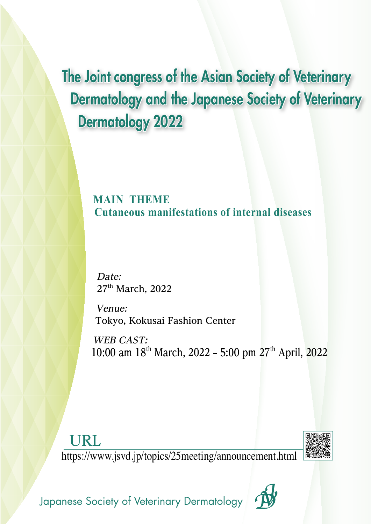The Joint congress of the Asian Society of Veterinary Dermatology and the Japanese Society of Veterinary Dermatology 2022

> **MAIN THEME Cutaneous manifestations of internal diseases**

**Date: 27th March, 2022**

**Venue: Tokyo, Kokusai Fashion Center**

**WEB CAST: 10:00 am 18th March, 2022 – 5:00 pm 27th April, 2022**

**URL**

https://www.jsvd.jp/topics/25meeting/announcement.html



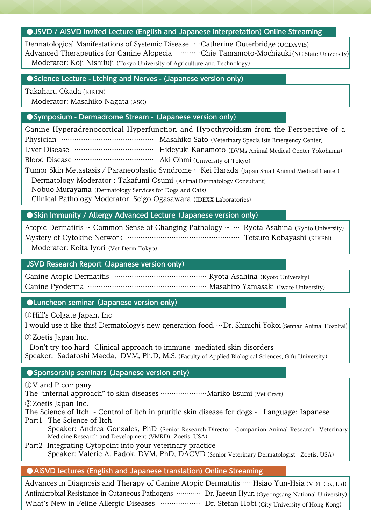### **• JSVD / AISVD Invited Lecture (English and Japanese interpretation) Online Streaming**

Dermatological Manifestations of Systemic Disease …Catherine Outerbridge (UCDAVIS) Advanced Therapeutics for Canine Alopecia ………Chie Tamamoto-Mochizuki(NC State University) Moderator: Koji Nishifuji (Tokyo University of Agriculture and Technology)

### **●Science Lecture - Ltching and Nerves - (Japanese version only)**

Takaharu Okada(RIKEN)

Moderator: Masahiko Nagata (ASC)

### **●Symposium - Dermadrome Stream - (Japanese version only)**

Canine Hyperadrenocortical Hyperfunction and Hypothyroidism from the Perspective of a Physician …………………………………… Masahiko Sato (Veterinary Specialists Emergency Center) Liver Disease ……………………………… Hideyuki Kanamoto (DVMs Animal Medical Center Yokohama) Blood Disease ……………………………… Aki Ohmi(University of Tokyo) Tumor Skin Metastasis / Paraneoplastic Syndrome …Kei Harada (Japan Small Animal Medical Center) Dermatology Moderator : Takafumi Osumi (Animal Dermatology Consultant)

Nobuo Murayama (Dermatology Services for Dogs and Cats)

Clinical Pathology Moderator: Seigo Ogasawara (IDEXX Laboratories)

### **●Skin Immunity / Allergy Advanced Lecture (Japanese version only)**

Atopic Dermatitis ~ Common Sense of Changing Pathology ~  $\cdots$  Ryota Asahina (Kyoto University) Mystery of Cytokine Network …………………………………………… Tetsuro Kobayashi (RIKEN) Moderator: Keita Iyori (Vet Derm Tokyo)

**JSVD Research Report (Japanese version only)**

Canine Atopic Dermatitis ……………………………………… Ryota Asahina (Kyoto University) Canine Pyoderma ……………………………………………… Masahiro Yamasaki (Iwate University)

**●Luncheon seminar (Japanese version only)**

①Hill's Colgate Japan, Inc

I would use it like this! Dermatology's new generation food. …Dr. Shinichi Yokoi(Sennan Animal Hospital)

②Zoetis Japan Inc.

 -Don't try too hard- Clinical approach to immune- mediated skin disorders Speaker: Sadatoshi Maeda, DVM, Ph.D, M.S.(Faculty of Applied Biological Sciences, Gifu University)

### **●Sponsorship seminars (Japanese version only)**

①V and P company

The "internal approach" to skin diseases …………………Mariko Esumi(Vet Craft)

②Zoetis Japan Inc.

The Science of Itch - Control of itch in pruritic skin disease for dogs - Language: Japanese Part1 The Science of Itch

Speaker: Andrea Gonzales, PhD (Senior Research Director Companion Animal Research Veterinary Medicine Research and Development (VMRD) Zoetis, USA)

Part2 Integrating Cytopoint into your veterinary practice Speaker: Valerie A. Fadok, DVM, PhD, DACVD (Senior Veterinary Dermatologist Zoetis, USA)

### **●AiSVD lectures (English and Japanese translation) Online Streaming**

Advances in Diagnosis and Therapy of Canine Atopic Dermatitis……Hsiao Yun-Hsia(VDT Co., Ltd) Antimicrobial Resistance in Cutaneous Pathogens ………… Dr. Jaeeun Hyun (Gyeongsang National University) What's New in Feline Allergic Diseases ………………… Dr. Stefan Hobi (City University of Hong Kong)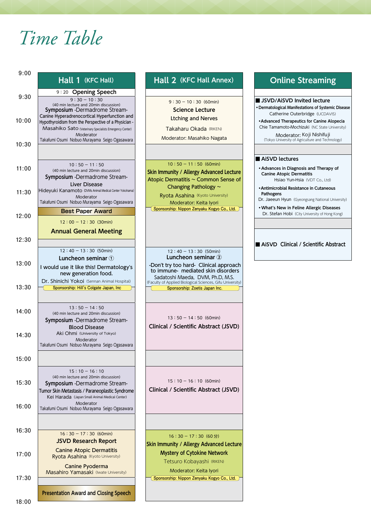# *Time Table*

| 9:00  |                                                                                                                                                                                                       |
|-------|-------------------------------------------------------------------------------------------------------------------------------------------------------------------------------------------------------|
|       | Hall 1 (KFC Hall)                                                                                                                                                                                     |
|       | 9:20 Opening Speech                                                                                                                                                                                   |
| 9:30  | $9:30 - 10:30$<br>(40 min lecture and 20min discussion)<br>Symposium - Dermadrome Stream-<br>Canine Hyperadrenocortical Hyperfunction and                                                             |
| 10:00 | Hypothyroidism from the Perspective of a Physician -<br>Masahiko Sato (Veterinary Specialists Emergency Center)<br>Moderator<br>Takafumi Osumi Nobuo Murayama Seigo Ogasawara                         |
| 10:30 | $10:50 - 11:50$                                                                                                                                                                                       |
| 11:00 | (40 min lecture and 20min discussion)<br>Symposium - Dermadrome Stream-<br>Liver Disease                                                                                                              |
| 11:30 | Hideyuki Kanamoto (DVMs Animal Medical Center Yokohama)<br>Moderator<br>Takafumi Osumi Nobuo Murayama Seigo Ogasawara                                                                                 |
| 12:00 | <b>Best Paper Award</b>                                                                                                                                                                               |
|       | $12:00 - 12:30$ (30min)                                                                                                                                                                               |
| 12:30 | <b>Annual General Meeting</b>                                                                                                                                                                         |
|       |                                                                                                                                                                                                       |
|       | $12:40 - 13:30$ (50min)<br>Luncheon seminar 1                                                                                                                                                         |
| 13:00 | I would use it like this! Dermatology's                                                                                                                                                               |
|       | new generation food.                                                                                                                                                                                  |
| 13:30 | Dr. Shinichi Yokoi (Sennan Animal Hospital)<br>Sponsorship: Hill's Colgate Japan, Inc.                                                                                                                |
| 14:00 | $13:50 - 14:50$<br>(40 min lecture and 20min discussion)<br>Symposium - Dermadrome Stream-                                                                                                            |
| 14:30 | <b>Blood Disease</b><br>Aki Ohmi (University of Tokyo)<br>Moderator                                                                                                                                   |
|       | Takafumi Osumi Nobuo Murayama Seigo Ogasawara                                                                                                                                                         |
| 15:00 |                                                                                                                                                                                                       |
| 15:30 | $15:10 - 16:10$<br>(40 min lecture and 20min discussion)<br><b>Symposium</b> -Dermadrome Stream-<br>Tumor Skin Metastasis / Paraneoplastic Syndrome<br>Kei Harada (Japan Small Animal Medical Center) |
| 16:00 | Moderator<br>Takafumi Osumi Nobuo Murayama Seigo Ogasawara                                                                                                                                            |
| 16:30 | $16:30 - 17:30$ (60min)<br><b>JSVD Research Report</b>                                                                                                                                                |
| 17:00 | <b>Canine Atopic Dermatitis</b><br>Ryota Asahina (Kyoto University)                                                                                                                                   |
| 17:30 | Canine Pyoderma<br>Masahiro Yamasaki (Iwate University)                                                                                                                                               |
|       |                                                                                                                                                                                                       |

### Hall 2 (KFC Hall Annex)

 $9:30 - 10:30$  (60min) **Science Lecture**  Ltching and Nerves

Takaharu Okada (RIKEN)

Moderator: Masahiko Nagata

#### $10:50 - 11:50$  (60min)

**Skin Immunity / Allergy Advanced Lecture** Atopic Dermatitis ~ Common Sense of Changing Pathology ~

Ryota Asahina (Kyoto University) Moderator: Keita Iyori **Sponsorship: Nippon Zenyaku Kogyo Co., Ltd.** 

 $12:40 - 13:30$  (50min) **Luncheon seminar ②** -Don't try too hard- Clinical approach to immune- mediated skin disorders Sadatoshi Maeda, DVM, Ph.D, M.S. (Faculty of Applied Biological Sciences, Gifu University) **Sponsorship: Zoetis Japan Inc.**

 $13:50 - 14:50$  (60min)

**Clinical / Scientific Abstract (JSVD)**

 $15:10 - 16:10$  (60min) **Clinical / Scientific Abstract (JSVD)**

16:30 - 17:30(60 分) **Skin Immunity / Allergy Advanced Lecture Mystery of Cytokine Network** Tetsuro Kobayashi (RIKEN)

Moderator: Keita Iyori **Sponsorship: Nippon Zenyaku Kogyo Co., Ltd.** 

### **Online Streaming**

**■ JSVD/AiSVD Invited lecture • Dermatological Manifestations of Systemic Disease** Catherine Outerbridge (UCDAVIS)

**•Advanced Therapeutics for Canine Alopecia** Chie Tamamoto-Mochizuki (NC State University)

Moderator: Koji Nishifuji (Tokyo University of Agriculture and Technology)

#### **■ AiSVD lectures**

- **Advances in Diagnosis and Therapy of Canine Atopic Dermatitis** Hsiao Yun-Hsia (VDT Co., Ltd)
- **•Antimicrobial Resistance in Cutaneous Pathogens**

Dr. Jaeeun Hyun (Gyeongsang National University)

**• What's New in Feline Allergic Diseases** Dr. Stefan Hobi (City University of Hong Kong)

#### **■ AiSVD Clinical / Scientific Abstract**